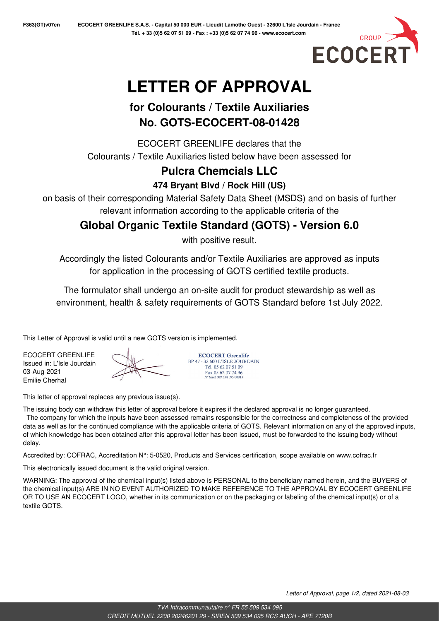

# **LETTER OF APPROVAL**

## **for Colourants / Textile Auxiliaries No. GOTS-ECOCERT-08-01428**

ECOCERT GREENLIFE declares that the Colourants / Textile Auxiliaries listed below have been assessed for

## **Pulcra Chemcials LLC**

**474 Bryant Blvd / Rock Hill (US)**

on basis of their corresponding Material Safety Data Sheet (MSDS) and on basis of further relevant information according to the applicable criteria of the

**Global Organic Textile Standard (GOTS) - Version 6.0**

with positive result.

Accordingly the listed Colourants and/or Textile Auxiliaries are approved as inputs for application in the processing of GOTS certified textile products.

The formulator shall undergo an on-site audit for product stewardship as well as environment, health & safety requirements of GOTS Standard before 1st July 2022.

This Letter of Approval is valid until a new GOTS version is implemented.

ECOCERT GREENLIFE Issued in: L'Isle Jourdain 03-Aug-2021 Emilie Cherhal

**ECOCERT Greenlife** BP 47 - 32 600 L'ISLE JOURDAIN Tél. 05 62 07 51 09 Fax 05 62 07 74 96<br>N° Siret 509 534 095 00013

This letter of approval replaces any previous issue(s).

The issuing body can withdraw this letter of approval before it expires if the declared approval is no longer guaranteed.

 The company for which the inputs have been assessed remains responsible for the correctness and completeness of the provided data as well as for the continued compliance with the applicable criteria of GOTS. Relevant information on any of the approved inputs, of which knowledge has been obtained after this approval letter has been issued, must be forwarded to the issuing body without delay.

Accredited by: COFRAC, Accreditation N°: 5-0520, Products and Services certification, scope available on www.cofrac.fr

This electronically issued document is the valid original version.

WARNING: The approval of the chemical input(s) listed above is PERSONAL to the beneficiary named herein, and the BUYERS of the chemical input(s) ARE IN NO EVENT AUTHORIZED TO MAKE REFERENCE TO THE APPROVAL BY ECOCERT GREENLIFE OR TO USE AN ECOCERT LOGO, whether in its communication or on the packaging or labeling of the chemical input(s) or of a textile GOTS.

Letter of Approval, page 1/2, dated 2021-08-03